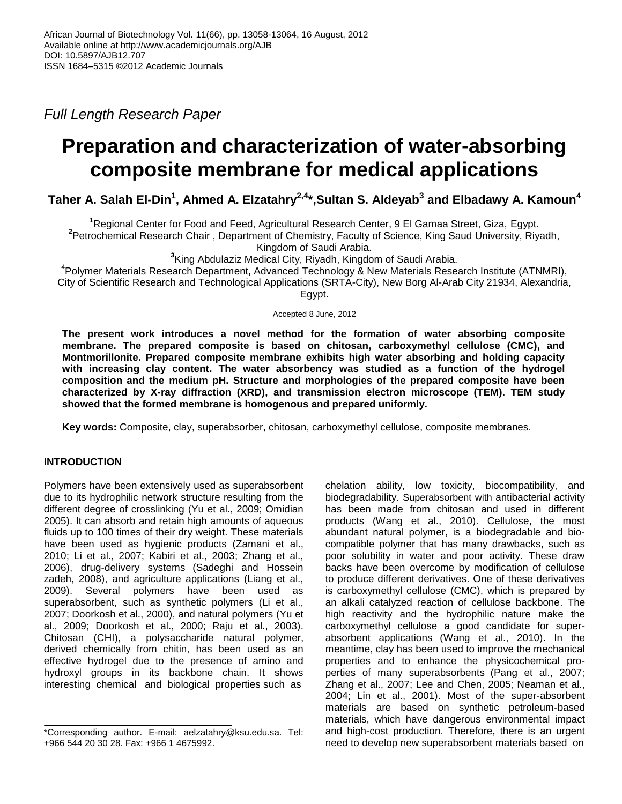*Full Length Research Paper*

# **Preparation and characterization of water-absorbing composite membrane for medical applications**

**Taher A. Salah El-Din<sup>1</sup> , Ahmed A. Elzatahry2,4 \*,Sultan S. Aldeyab<sup>3</sup> and Elbadawy A. Kamoun<sup>4</sup>**

**<sup>1</sup>**Regional Center for Food and Feed, Agricultural Research Center, 9 El Gamaa Street, Giza, Egypt.

**2** Petrochemical Research Chair , Department of Chemistry, Faculty of Science, King Saud University, Riyadh,

Kingdom of Saudi Arabia.

**3** King Abdulaziz Medical City, Riyadh, Kingdom of Saudi Arabia.

4 Polymer Materials Research Department, Advanced Technology & New Materials Research Institute (ATNMRI), City of Scientific Research and Technological Applications (SRTA-City), New Borg Al-Arab City 21934, Alexandria, Egypt.

Accepted 8 June, 2012

**The present work introduces a novel method for the formation of water absorbing composite membrane. The prepared composite is based on chitosan, carboxymethyl cellulose (CMC), and Montmorillonite. Prepared composite membrane exhibits high water absorbing and holding capacity with increasing clay content. The water absorbency was studied as a function of the hydrogel composition and the medium pH. Structure and morphologies of the prepared composite have been characterized by X-ray diffraction (XRD), and transmission electron microscope (TEM). TEM study showed that the formed membrane is homogenous and prepared uniformly.** 

**Key words:** Composite, clay, superabsorber, chitosan, carboxymethyl cellulose, composite membranes.

# **INTRODUCTION**

Polymers have been extensively used as superabsorbent due to its hydrophilic network structure resulting from the different degree of crosslinking (Yu et al., 2009; Omidian 2005). It can absorb and retain high amounts of aqueous fluids up to 100 times of their dry weight. These materials have been used as hygienic products (Zamani et al., 2010; Li et al., 2007; Kabiri et al., 2003; Zhang et al., 2006), drug-delivery systems (Sadeghi and Hossein zadeh, 2008), and agriculture applications (Liang et al., 2009). Several polymers have been used as superabsorbent, such as synthetic polymers (Li et al., 2007; Doorkosh et al., 2000), and natural polymers (Yu et al., 2009; Doorkosh et al., 2000; Raju et al., 2003). Chitosan (CHI), a polysaccharide natural polymer, derived chemically from chitin, has been used as an effective hydrogel due to the presence of amino and hydroxyl groups in its backbone chain. It shows interesting chemical and biological properties such as

chelation ability, low toxicity, biocompatibility, and biodegradability. Superabsorbent with antibacterial activity has been made from chitosan and used in different products (Wang et al., 2010). Cellulose, the most abundant natural polymer, is a biodegradable and biocompatible polymer that has many drawbacks, such as poor solubility in water and poor activity. These draw backs have been overcome by modification of cellulose to produce different derivatives. One of these derivatives is carboxymethyl cellulose (CMC), which is prepared by an alkali catalyzed reaction of cellulose backbone. The high reactivity and the hydrophilic nature make the carboxymethyl cellulose a good candidate for superabsorbent applications (Wang et al., 2010). In the meantime, clay has been used to improve the mechanical properties and to enhance the physicochemical properties of many superabsorbents (Pang et al., 2007; Zhang et al., 2007; Lee and Chen, 2005; Neaman et al., 2004; Lin et al., 2001). Most of the super-absorbent materials are based on synthetic petroleum-based materials, which have dangerous environmental impact and high-cost production. Therefore, there is an urgent need to develop new superabsorbent materials based on

<sup>\*</sup>Corresponding author. E-mail: aelzatahry@ksu.edu.sa. Tel: +966 544 20 30 28. Fax: +966 1 4675992.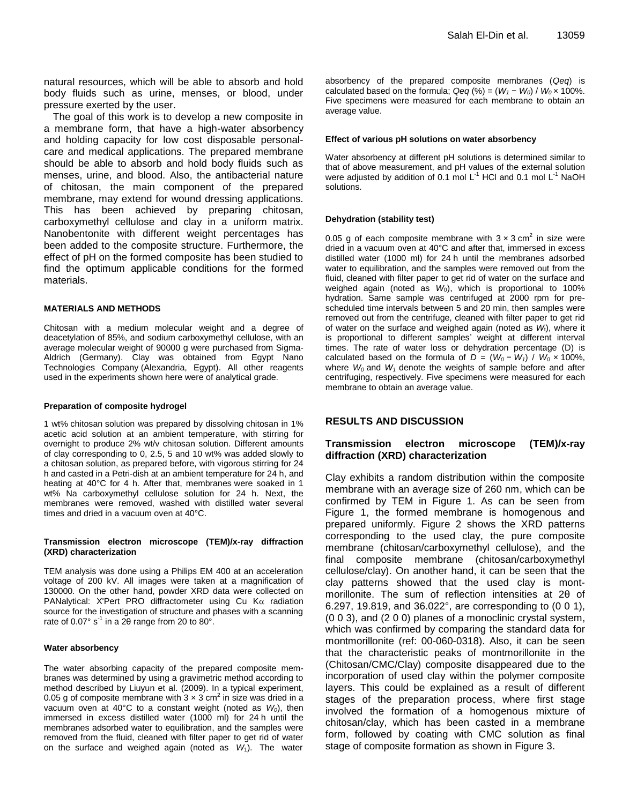natural resources, which will be able to absorb and hold body fluids such as urine, menses, or blood, under pressure exerted by the user.

The goal of this work is to develop a new composite in a membrane form, that have a high-water absorbency and holding capacity for low cost disposable personalcare and medical applications. The prepared membrane should be able to absorb and hold body fluids such as menses, urine, and blood. Also, the antibacterial nature of chitosan, the main component of the prepared membrane, may extend for wound dressing applications. This has been achieved by preparing chitosan, carboxymethyl cellulose and clay in a uniform matrix. Nanobentonite with different weight percentages has been added to the composite structure. Furthermore, the effect of pH on the formed composite has been studied to find the optimum applicable conditions for the formed materials.

#### **MATERIALS AND METHODS**

Chitosan with a medium molecular weight and a degree of deacetylation of 85%, and sodium carboxymethyl cellulose, with an average molecular weight of 90000 g were purchased from Sigma-Aldrich (Germany). Clay was obtained from Egypt Nano Technologies Company (Alexandria, Egypt). All other reagents used in the experiments shown here were of analytical grade.

#### **Preparation of composite hydrogel**

1 wt% chitosan solution was prepared by dissolving chitosan in 1% acetic acid solution at an ambient temperature, with stirring for overnight to produce 2% wt/v chitosan solution. Different amounts of clay corresponding to 0, 2.5, 5 and 10 wt% was added slowly to a chitosan solution, as prepared before, with vigorous stirring for 24 h and casted in a Petri-dish at an ambient temperature for 24 h, and heating at 40°C for 4 h. After that, membranes were soaked in 1 wt% Na carboxymethyl cellulose solution for 24 h. Next, the membranes were removed, washed with distilled water several times and dried in a vacuum oven at 40°C.

#### **Transmission electron microscope (TEM)/x-ray diffraction (XRD) characterization**

TEM analysis was done using a Philips EM 400 at an acceleration voltage of 200 kV. All images were taken at a magnification of 130000. On the other hand, powder XRD data were collected on PANalytical: X'Pert PRO diffractometer using Cu  $\text{K}\alpha$  radiation source for the investigation of structure and phases with a scanning rate of 0.07° s<sup>-1</sup> in a 20 range from 20 to 80°.

#### **Water absorbency**

The water absorbing capacity of the prepared composite membranes was determined by using a gravimetric method according to method described by Liuyun et al. (2009). In a typical experiment, 0.05 g of composite membrane with  $3 \times 3$  cm<sup>2</sup> in size was dried in a vacuum oven at 40°C to a constant weight (noted as *W0*), then immersed in excess distilled water (1000 ml) for 24 h until the membranes adsorbed water to equilibration, and the samples were removed from the fluid, cleaned with filter paper to get rid of water on the surface and weighed again (noted as *W*1). The water

absorbency of the prepared composite membranes (*Qeq*) is calculated based on the formula;  $Qeq$  (%) = ( $W_1 - W_0$ ) /  $W_0 \times 100\%$ . Five specimens were measured for each membrane to obtain an average value.

#### **Effect of various pH solutions on water absorbency**

Water absorbency at different pH solutions is determined similar to that of above measurement, and pH values of the external solution were adjusted by addition of 0.1 mol  $L^{-1}$  HCl and 0.1 mol  $L^{-1}$  NaOH solutions.

#### **Dehydration (stability test)**

0.05 g of each composite membrane with  $3 \times 3$  cm<sup>2</sup> in size were dried in a vacuum oven at 40°C and after that, immersed in excess distilled water (1000 ml) for 24 h until the membranes adsorbed water to equilibration, and the samples were removed out from the fluid, cleaned with filter paper to get rid of water on the surface and weighed again (noted as  $W_0$ ), which is proportional to 100% hydration. Same sample was centrifuged at 2000 rpm for prescheduled time intervals between 5 and 20 min, then samples were removed out from the centrifuge, cleaned with filter paper to get rid of water on the surface and weighed again (noted as *W*t), where it is proportional to different samples' weight at different interval times. The rate of water loss or dehydration percentage (D) is calculated based on the formula of  $D = (W_0 - W_1) / W_0 \times 100\%$ , where *W<sup>0</sup>* and *W<sup>1</sup>* denote the weights of sample before and after centrifuging, respectively. Five specimens were measured for each membrane to obtain an average value.

## **RESULTS AND DISCUSSION**

## **Transmission electron microscope (TEM)/x-ray diffraction (XRD) characterization**

Clay exhibits a random distribution within the composite membrane with an average size of 260 nm, which can be confirmed by TEM in Figure 1. As can be seen from Figure 1, the formed membrane is homogenous and prepared uniformly. Figure 2 shows the XRD patterns corresponding to the used clay, the pure composite membrane (chitosan/carboxymethyl cellulose), and the final composite membrane (chitosan/carboxymethyl cellulose/clay). On another hand, it can be seen that the clay patterns showed that the used clay is montmorillonite. The sum of reflection intensities at 2θ of 6.297, 19.819, and 36.022°, are corresponding to (0 0 1), (0 0 3), and (2 0 0) planes of a monoclinic crystal system, which was confirmed by comparing the standard data for montmorillonite (ref: 00-060-0318). Also, it can be seen that the characteristic peaks of montmorillonite in the (Chitosan/CMC/Clay) composite disappeared due to the incorporation of used clay within the polymer composite layers. This could be explained as a result of different stages of the preparation process, where first stage involved the formation of a homogenous mixture of chitosan/clay, which has been casted in a membrane form, followed by coating with CMC solution as final stage of composite formation as shown in Figure 3.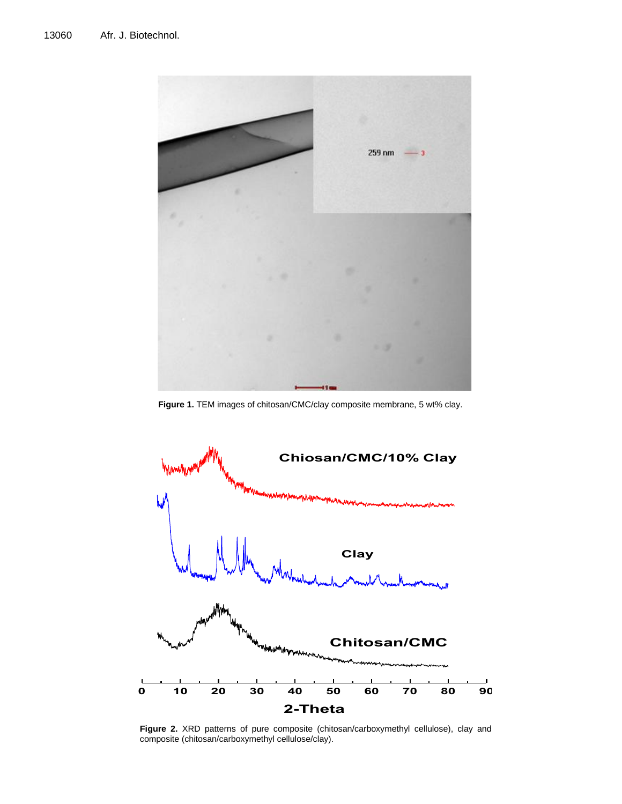

**Figure 1.** TEM images of chitosan/CMC/clay composite membrane, 5 wt% clay.



**Figure 2.** XRD patterns of pure composite (chitosan/carboxymethyl cellulose), clay and composite (chitosan/carboxymethyl cellulose/clay).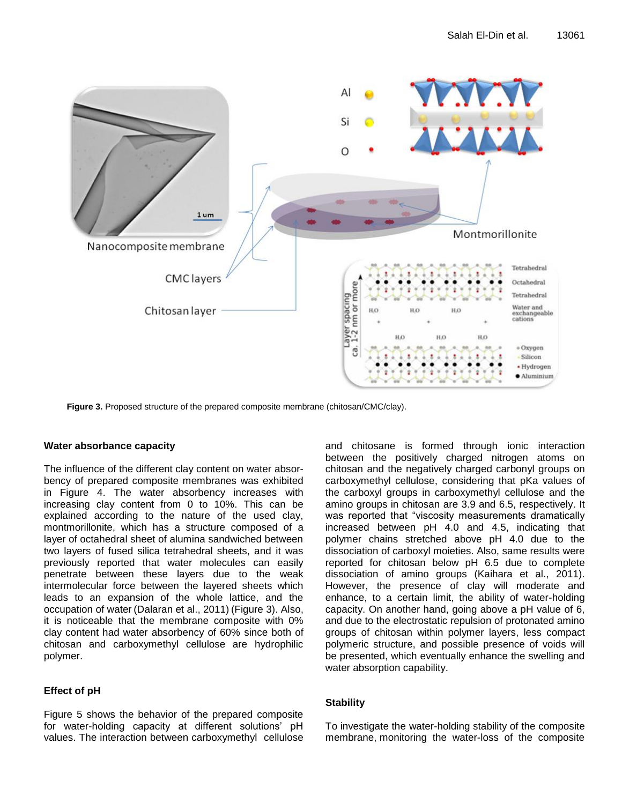

**Figure 3.** Proposed structure of the prepared composite membrane (chitosan/CMC/clay).

## **Water absorbance capacity**

The influence of the different clay content on water absorbency of prepared composite membranes was exhibited in Figure 4. The water absorbency increases with increasing clay content from 0 to 10%. This can be explained according to the nature of the used clay, montmorillonite, which has a structure composed of a layer of octahedral sheet of alumina sandwiched between two layers of fused silica tetrahedral sheets, and it was previously reported that water molecules can easily penetrate between these layers due to the weak intermolecular force between the layered sheets which leads to an expansion of the whole lattice, and the occupation of water (Dalaran et al., 2011) (Figure 3). Also, it is noticeable that the membrane composite with 0% clay content had water absorbency of 60% since both of chitosan and carboxymethyl cellulose are hydrophilic polymer.

# **Effect of pH**

Figure 5 shows the behavior of the prepared composite for water-holding capacity at different solutions' pH values. The interaction between carboxymethyl cellulose and chitosane is formed through ionic interaction between the positively charged nitrogen atoms on chitosan and the negatively charged carbonyl groups on carboxymethyl cellulose, considering that pKa values of the carboxyl groups in carboxymethyl cellulose and the amino groups in chitosan are 3.9 and 6.5, respectively. It was reported that "viscosity measurements dramatically increased between pH 4.0 and 4.5, indicating that polymer chains stretched above pH 4.0 due to the dissociation of carboxyl moieties. Also, same results were reported for chitosan below pH 6.5 due to complete dissociation of amino groups (Kaihara et al., 2011). However, the presence of clay will moderate and enhance, to a certain limit, the ability of water-holding capacity. On another hand, going above a pH value of 6, and due to the electrostatic repulsion of protonated amino groups of chitosan within polymer layers, less compact polymeric structure, and possible presence of voids will be presented, which eventually enhance the swelling and water absorption capability.

# **Stability**

To investigate the water-holding stability of the composite membrane, monitoring the water-loss of the composite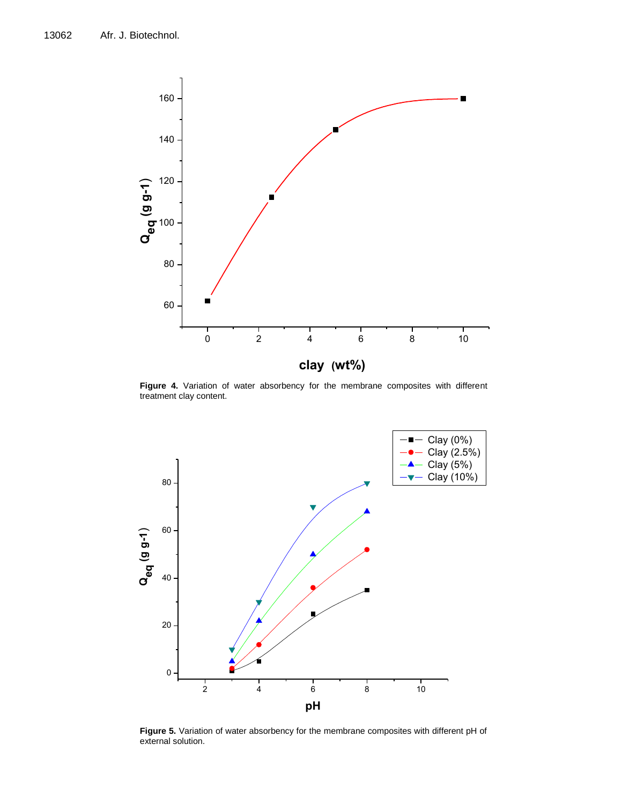

Figure 4. Variation of water absorbency for the membrane composites with different treatment clay content.



**Figure 5.** Variation of water absorbency for the membrane composites with different pH of external solution.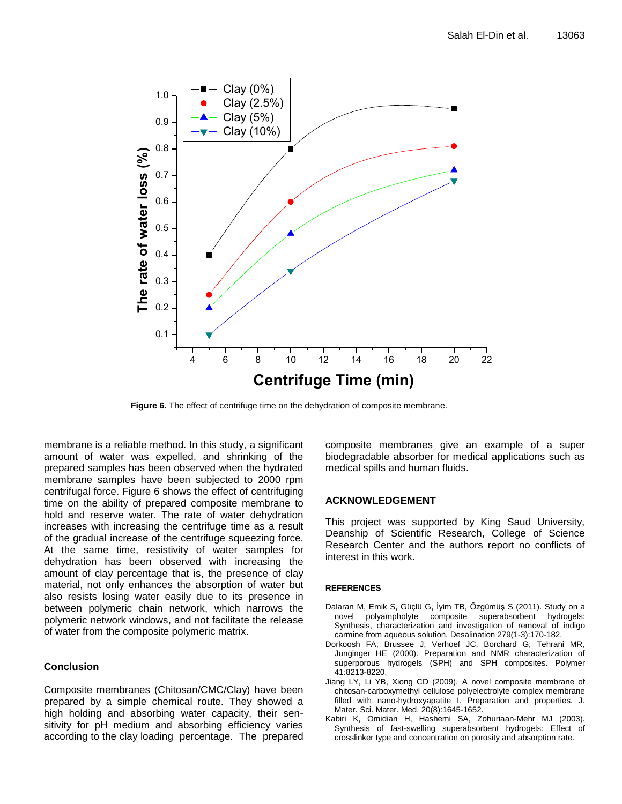

**Figure 6.** The effect of centrifuge time on the dehydration of composite membrane.

membrane is a reliable method. In this study, a significant amount of water was expelled, and shrinking of the prepared samples has been observed when the hydrated membrane samples have been subjected to 2000 rpm centrifugal force. Figure 6 shows the effect of centrifuging time on the ability of prepared composite membrane to hold and reserve water. The rate of water dehydration increases with increasing the centrifuge time as a result of the gradual increase of the centrifuge squeezing force. At the same time, resistivity of water samples for dehydration has been observed with increasing the amount of clay percentage that is, the presence of clay material, not only enhances the absorption of water but also resists losing water easily due to its presence in between polymeric chain network, which narrows the polymeric network windows, and not facilitate the release of water from the composite polymeric matrix.

## **Conclusion**

Composite membranes (Chitosan/CMC/Clay) have been prepared by a simple chemical route. They showed a high holding and absorbing water capacity, their sensitivity for pH medium and absorbing efficiency varies according to the clay loading percentage. The prepared composite membranes give an example of a super biodegradable absorber for medical applications such as medical spills and human fluids.

## **ACKNOWLEDGEMENT**

This project was supported by King Saud University, Deanship of Scientific Research, College of Science Research Center and the authors report no conflicts of interest in this work.

## **REFERENCES**

- [Dalaran](http://www.sciencedirect.com/science?_ob=RedirectURL&_method=outwardLink&_partnerName=27983&_origin=article&_zone=art_page&_linkType=scopusAuthorDocuments&_targetURL=http%3A%2F%2Fwww.scopus.com%2Fscopus%2Finward%2Fauthor.url%3FpartnerID%3D10%26rel%3D3.0.0%26sortField%3Dcited%26sortOrder%3Dasc%26author%3DDalaran,%2520Mert%26authorID%3D26434195900%26md5%3D4fff0a5bf8b0279d7703125579c51f57&_acct=C000052544&_version=1&_userid=11008955&md5=57afe600ff256f32cc3e514937ea5dcb) M, [Emik](http://www.sciencedirect.com/science?_ob=RedirectURL&_method=outwardLink&_partnerName=27983&_origin=article&_zone=art_page&_linkType=scopusAuthorDocuments&_targetURL=http%3A%2F%2Fwww.scopus.com%2Fscopus%2Finward%2Fauthor.url%3FpartnerID%3D10%26rel%3D3.0.0%26sortField%3Dcited%26sortOrder%3Dasc%26author%3DEmik,%2520Serkan%26authorID%3D12778407100%26md5%3D804fff6d60bd2ce25d46d84e5043465d&_acct=C000052544&_version=1&_userid=11008955&md5=344a9a0416338df5bfc2ba263d1b8c4a) S, [Güçlü](http://www.sciencedirect.com/science?_ob=RedirectURL&_method=outwardLink&_partnerName=27983&_origin=article&_zone=art_page&_linkType=scopusAuthorDocuments&_targetURL=http%3A%2F%2Fwww.scopus.com%2Fscopus%2Finward%2Fauthor.url%3FpartnerID%3D10%26rel%3D3.0.0%26sortField%3Dcited%26sortOrder%3Dasc%26author%3DG%25C3%25BC%25C3%25A7l%25C3%25BC,%2520Gamze%26authorID%3D6602424233%26md5%3D79ff95c83c0e5c18c701ccd1366981c3&_acct=C000052544&_version=1&_userid=11008955&md5=6ca1e4224f5017d8e9eeec6ec1f3cb59) G, [İyim](http://www.sciencedirect.com/science?_ob=RedirectURL&_method=outwardLink&_partnerName=27983&_origin=article&_zone=art_page&_linkType=scopusAuthorDocuments&_targetURL=http%3A%2F%2Fwww.scopus.com%2Fscopus%2Finward%2Fauthor.url%3FpartnerID%3D10%26rel%3D3.0.0%26sortField%3Dcited%26sortOrder%3Dasc%26author%3D%25C4%25B0yim,%2520T%25C3%25BClin%2520Banu%26authorID%3D35615269700%26md5%3D476881c4e07c48d05052282f4976666a&_acct=C000052544&_version=1&_userid=11008955&md5=7c8d63ff18dba07f00ace828a1e53c48) TB, [Özgümüş](http://www.sciencedirect.com/science?_ob=RedirectURL&_method=outwardLink&_partnerName=27983&_origin=article&_zone=art_page&_linkType=scopusAuthorDocuments&_targetURL=http%3A%2F%2Fwww.scopus.com%2Fscopus%2Finward%2Fauthor.url%3FpartnerID%3D10%26rel%3D3.0.0%26sortField%3Dcited%26sortOrder%3Dasc%26author%3D%25C3%2596zg%25C3%25BCm%25C3%25BC%25C5%259F,%2520Saadet%26authorID%3D6603245888%26md5%3D93eada5e301c48b20613d5ff9c428942&_acct=C000052544&_version=1&_userid=11008955&md5=f4bebb6d409cf91adbbbc182fbef23e1) S (2011). Study on a novel polyampholyte composite superabsorbent hydrogels: Synthesis, characterization and investigation of removal of indigo carmine from aqueous solution[. Desalination](http://www.sciencedirect.com/science/journal/00119164) 279(1-3):170-182.
- Dorkoosh FA, Brussee J, Verhoef JC, Borchard G, Tehrani MR, Junginger HE (2000). Preparation and NMR characterization of superporous hydrogels (SPH) and SPH composites. Polymer 41:8213-8220.
- Jiang LY, Li YB, Xiong CD (2009). A novel composite membrane of chitosan-carboxymethyl cellulose polyelectrolyte complex membrane filled with nano-hydroxyapatite I. Preparation and properties. J. Mater. Sci. Mater. Med. 20(8):1645-1652.
- Kabiri K, Omidian H, Hashemi SA, Zohuriaan-Mehr MJ (2003). Synthesis of fast-swelling superabsorbent hydrogels: Effect of crosslinker type and concentration on porosity and absorption rate.